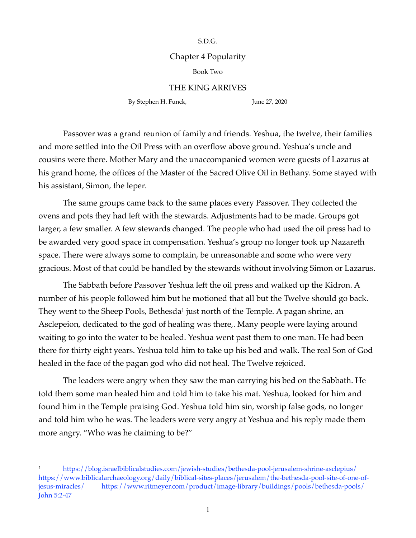S.D.G.

## Chapter 4 Popularity

## Book Two

## THE KING ARRIVES

By Stephen H. Funck, June 27, 2020

Passover was a grand reunion of family and friends. Yeshua, the twelve, their families and more settled into the Oil Press with an overflow above ground. Yeshua's uncle and cousins were there. Mother Mary and the unaccompanied women were guests of Lazarus at his grand home, the offices of the Master of the Sacred Olive Oil in Bethany. Some stayed with his assistant, Simon, the leper.

The same groups came back to the same places every Passover. They collected the ovens and pots they had left with the stewards. Adjustments had to be made. Groups got larger, a few smaller. A few stewards changed. The people who had used the oil press had to be awarded very good space in compensation. Yeshua's group no longer took up Nazareth space. There were always some to complain, be unreasonable and some who were very gracious. Most of that could be handled by the stewards without involving Simon or Lazarus.

<span id="page-0-1"></span>The Sabbath before Passover Yeshua left the oil press and walked up the Kidron. A number of his people followed him but he motioned that all but the Twelve should go back. They went to the Sheep Pools, Bethesd[a](#page-0-0)<sup>[1](#page-0-0)</sup> just north of the Temple. A pagan shrine, an Asclepeion, dedicated to the god of healing was there,. Many people were laying around waiting to go into the water to be healed. Yeshua went past them to one man. He had been there for thirty eight years. Yeshua told him to take up his bed and walk. The real Son of God healed in the face of the pagan god who did not heal. The Twelve rejoiced.

The leaders were angry when they saw the man carrying his bed on the Sabbath. He told them some man healed him and told him to take his mat. Yeshua, looked for him and found him in the Temple praising God. Yeshua told him sin, worship false gods, no longer and told him who he was. The leaders were very angry at Yeshua and his reply made them more angry. "Who was he claiming to be?"

<span id="page-0-0"></span>https://blog.israelbiblicalstudies.com/jewish-studies/bethesda-pool-jerusalem-shrine-asclepius/[1](#page-0-1) [https://www.biblicalarchaeology.org/daily/biblical-sites-places/jerusalem/the-bethesda-pool-site-of-one-of](https://www.biblicalarchaeology.org/daily/biblical-sites-places/jerusalem/the-bethesda-pool-site-of-one-of-jesus-miracles/)[jesus-miracles/](https://www.biblicalarchaeology.org/daily/biblical-sites-places/jerusalem/the-bethesda-pool-site-of-one-of-jesus-miracles/) <https://www.ritmeyer.com/product/image-library/buildings/pools/bethesda-pools/> John 5:2-47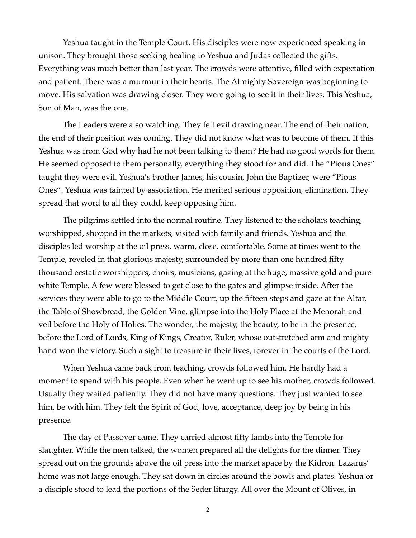Yeshua taught in the Temple Court. His disciples were now experienced speaking in unison. They brought those seeking healing to Yeshua and Judas collected the gifts. Everything was much better than last year. The crowds were attentive, filled with expectation and patient. There was a murmur in their hearts. The Almighty Sovereign was beginning to move. His salvation was drawing closer. They were going to see it in their lives. This Yeshua, Son of Man, was the one.

The Leaders were also watching. They felt evil drawing near. The end of their nation, the end of their position was coming. They did not know what was to become of them. If this Yeshua was from God why had he not been talking to them? He had no good words for them. He seemed opposed to them personally, everything they stood for and did. The "Pious Ones" taught they were evil. Yeshua's brother James, his cousin, John the Baptizer, were "Pious Ones". Yeshua was tainted by association. He merited serious opposition, elimination. They spread that word to all they could, keep opposing him.

The pilgrims settled into the normal routine. They listened to the scholars teaching, worshipped, shopped in the markets, visited with family and friends. Yeshua and the disciples led worship at the oil press, warm, close, comfortable. Some at times went to the Temple, reveled in that glorious majesty, surrounded by more than one hundred fifty thousand ecstatic worshippers, choirs, musicians, gazing at the huge, massive gold and pure white Temple. A few were blessed to get close to the gates and glimpse inside. After the services they were able to go to the Middle Court, up the fifteen steps and gaze at the Altar, the Table of Showbread, the Golden Vine, glimpse into the Holy Place at the Menorah and veil before the Holy of Holies. The wonder, the majesty, the beauty, to be in the presence, before the Lord of Lords, King of Kings, Creator, Ruler, whose outstretched arm and mighty hand won the victory. Such a sight to treasure in their lives, forever in the courts of the Lord.

When Yeshua came back from teaching, crowds followed him. He hardly had a moment to spend with his people. Even when he went up to see his mother, crowds followed. Usually they waited patiently. They did not have many questions. They just wanted to see him, be with him. They felt the Spirit of God, love, acceptance, deep joy by being in his presence.

The day of Passover came. They carried almost fifty lambs into the Temple for slaughter. While the men talked, the women prepared all the delights for the dinner. They spread out on the grounds above the oil press into the market space by the Kidron. Lazarus' home was not large enough. They sat down in circles around the bowls and plates. Yeshua or a disciple stood to lead the portions of the Seder liturgy. All over the Mount of Olives, in

2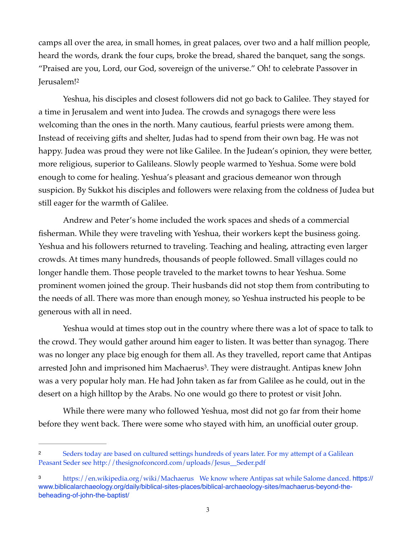camps all over the area, in small homes, in great palaces, over two and a half million people, heard the words, drank the four cups, broke the bread, shared the banquet, sang the songs. "Praised are you, Lord, our God, sovereign of the universe." Oh! to celebrate Passover in Jerusalem!<sup>2</sup>

<span id="page-2-2"></span>Yeshua, his disciples and closest followers did not go back to Galilee. They stayed for a time in Jerusalem and went into Judea. The crowds and synagogs there were less welcoming than the ones in the north. Many cautious, fearful priests were among them. Instead of receiving gifts and shelter, Judas had to spend from their own bag. He was not happy. Judea was proud they were not like Galilee. In the Judean's opinion, they were better, more religious, superior to Galileans. Slowly people warmed to Yeshua. Some were bold enough to come for healing. Yeshua's pleasant and gracious demeanor won through suspicion. By Sukkot his disciples and followers were relaxing from the coldness of Judea but still eager for the warmth of Galilee.

Andrew and Peter's home included the work spaces and sheds of a commercial fisherman. While they were traveling with Yeshua, their workers kept the business going. Yeshua and his followers returned to traveling. Teaching and healing, attracting even larger crowds. At times many hundreds, thousands of people followed. Small villages could no longer handle them. Those people traveled to the market towns to hear Yeshua. Some prominent women joined the group. Their husbands did not stop them from contributing to the needs of all. There was more than enough money, so Yeshua instructed his people to be generous with all in need.

<span id="page-2-3"></span>Yeshua would at times stop out in the country where there was a lot of space to talk to the crowd. They would gather around him eager to listen. It was better than synagog. There was no longer any place big enough for them all. As they travelled, report came that Antipas arrested John and imprisoned him Machaerus<sup>[3](#page-2-1)</sup>. They were distraught. Antipas knew John was a very popular holy man. He had John taken as far from Galilee as he could, out in the desert on a high hilltop by the Arabs. No one would go there to protest or visit John.

While there were many who followed Yeshua, most did not go far from their home before they went back. There were some who stayed with him, an unofficial outer group.

<span id="page-2-0"></span>Seders today are based on cultured settings hundreds of years later. For my attempt of a Galilean [2](#page-2-2) Peasant Seder see [http://thesignofconcord.com/uploads/Jesus\\_\\_Seder.pdf](http://thesignofconcord.com/uploads/Jesus__Seder.pdf)

<span id="page-2-1"></span><sup>&</sup>lt;sup>3</sup> <https://en.wikipedia.org/wiki/Machaerus> We know where Antipas sat while Salome danced. [https://](https://www.biblicalarchaeology.org/daily/biblical-sites-places/biblical-archaeology-sites/machaerus-beyond-the-beheading-of-john-the-baptist/) [www.biblicalarchaeology.org/daily/biblical-sites-places/biblical-archaeology-sites/machaerus-beyond-the](https://www.biblicalarchaeology.org/daily/biblical-sites-places/biblical-archaeology-sites/machaerus-beyond-the-beheading-of-john-the-baptist/)[beheading-of-john-the-baptist/](https://www.biblicalarchaeology.org/daily/biblical-sites-places/biblical-archaeology-sites/machaerus-beyond-the-beheading-of-john-the-baptist/)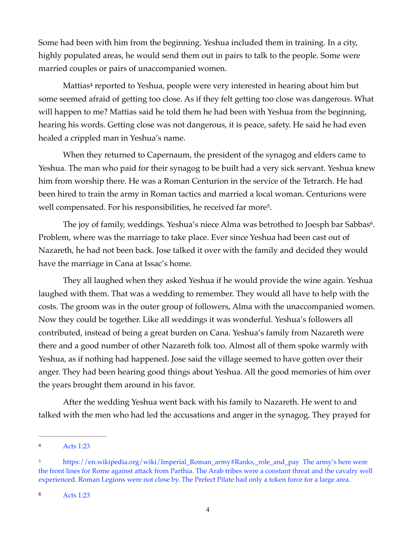Some had been with him from the beginning. Yeshua included them in training. In a city, highly populated areas, he would send them out in pairs to talk to the people. Some were married couples or pairs of unaccompanied women.

<span id="page-3-3"></span>Mattia[s](#page-3-0)<sup>[4](#page-3-0)</sup> reported to Yeshua, people were very interested in hearing about him but some seemed afraid of getting too close. As if they felt getting too close was dangerous. What will happen to me? Mattias said he told them he had been with Yeshua from the beginning, hearing his words. Getting close was not dangerous, it is peace, safety. He said he had even healed a crippled man in Yeshua's name.

When they returned to Capernaum, the president of the synagog and elders came to Yeshua. The man who paid for their synagog to be built had a very sick servant. Yeshua knew him from worship there. He was a Roman Centurion in the service of the Tetrarch. He had been hired to train the army in Roman tactics and married a local woman. Centurions were well compensated. For his responsibilities, he received far more<sup>[5](#page-3-1)</sup>.

<span id="page-3-5"></span><span id="page-3-4"></span>The joy of family, weddings[.](#page-3-2) Yeshua's niece Alma was betrothed to Joesph bar Sabbas<sup>[6](#page-3-2)</sup>. Problem, where was the marriage to take place. Ever since Yeshua had been cast out of Nazareth, he had not been back. Jose talked it over with the family and decided they would have the marriage in Cana at Issac's home.

They all laughed when they asked Yeshua if he would provide the wine again. Yeshua laughed with them. That was a wedding to remember. They would all have to help with the costs. The groom was in the outer group of followers, Alma with the unaccompanied women. Now they could be together. Like all weddings it was wonderful. Yeshua's followers all contributed, instead of being a great burden on Cana. Yeshua's family from Nazareth were there and a good number of other Nazareth folk too. Almost all of them spoke warmly with Yeshua, as if nothing had happened. Jose said the village seemed to have gotten over their anger. They had been hearing good things about Yeshua. All the good memories of him over the years brought them around in his favor.

After the wedding Yeshua went back with his family to Nazareth. He went to and talked with the men who had led the accusations and anger in the synagog. They prayed for

<span id="page-3-2"></span>Acts 1:23 [6](#page-3-5)

<span id="page-3-0"></span>Acts 1:23 [4](#page-3-3)

<span id="page-3-1"></span><sup>&</sup>lt;sup>5</sup> [https://en.wikipedia.org/wiki/Imperial\\_Roman\\_army#Ranks,\\_role\\_and\\_pay](https://en.wikipedia.org/wiki/Imperial_Roman_army#Ranks,_role_and_pay) The army's here were the front lines for Rome against attack from Parthia. The Arab tribes were a constant threat and the cavalry well experienced. Roman Legions were not close by. The Prefect Pilate had only a token force for a large area.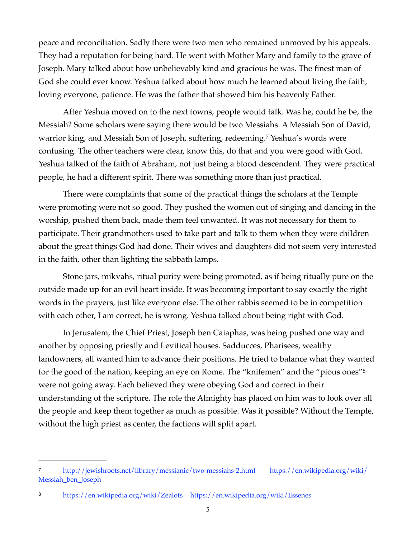peace and reconciliation. Sadly there were two men who remained unmoved by his appeals. They had a reputation for being hard. He went with Mother Mary and family to the grave of Joseph. Mary talked about how unbelievably kind and gracious he was. The finest man of God she could ever know. Yeshua talked about how much he learned about living the faith, loving everyone, patience. He was the father that showed him his heavenly Father.

<span id="page-4-2"></span>After Yeshua moved on to the next towns, people would talk. Was he, could he be, the Messiah? Some scholars were saying there would be two Messiahs. A Messiah Son of David, warrior king, and Messiah Son of Joseph, suffering, redeeming[.](#page-4-0)<sup>[7](#page-4-0)</sup> Yeshua's words were confusing. The other teachers were clear, know this, do that and you were good with God. Yeshua talked of the faith of Abraham, not just being a blood descendent. They were practical people, he had a different spirit. There was something more than just practical.

There were complaints that some of the practical things the scholars at the Temple were promoting were not so good. They pushed the women out of singing and dancing in the worship, pushed them back, made them feel unwanted. It was not necessary for them to participate. Their grandmothers used to take part and talk to them when they were children about the great things God had done. Their wives and daughters did not seem very interested in the faith, other than lighting the sabbath lamps.

Stone jars, mikvahs, ritual purity were being promoted, as if being ritually pure on the outside made up for an evil heart inside. It was becoming important to say exactly the right words in the prayers, just like everyone else. The other rabbis seemed to be in competition with each other, I am correct, he is wrong. Yeshua talked about being right with God.

<span id="page-4-3"></span>In Jerusalem, the Chief Priest, Joseph ben Caiaphas, was being pushed one way and another by opposing priestly and Levitical houses. Sadducces, Pharisees, wealthy landowners, all wanted him to advance their positions. He tried to balance what they wanted for the good of the nation, keeping an eye on Rome. The "knifemen" and the "pious ones["8](#page-4-1) were not going away. Each believed they were obeying God and correct in their understanding of the scripture. The role the Almighty has placed on him was to look over all the people and keep them together as much as possible. Was it possible? Without the Temple, without the high priest as center, the factions will split apart.

<span id="page-4-0"></span>[<sup>7</sup>](#page-4-2) <http://jewishroots.net/library/messianic/two-messiahs-2.html> [https://en.wikipedia.org/wiki/](https://en.wikipedia.org/wiki/Messiah_ben_Joseph) [Messiah\\_ben\\_Joseph](https://en.wikipedia.org/wiki/Messiah_ben_Joseph)

<span id="page-4-1"></span>https://en.wikipedia.org/wiki/Zealots https://en.wikipedia.org/wiki/Essenes [8](#page-4-3)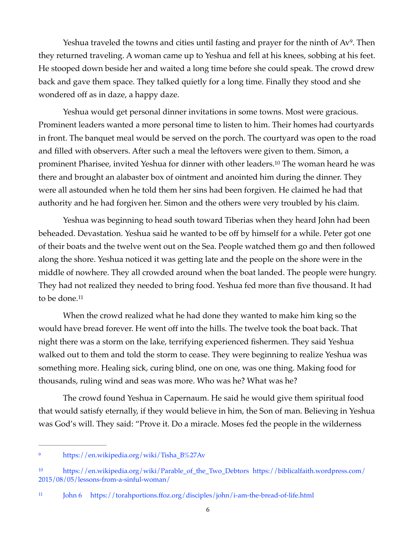<span id="page-5-3"></span>Yeshua traveled the towns and cities until fasting and prayer for the ninth of Av<sup>[9](#page-5-0)</sup>. Then they returned traveling. A woman came up to Yeshua and fell at his knees, sobbing at his feet. He stooped down beside her and waited a long time before she could speak. The crowd drew back and gave them space. They talked quietly for a long time. Finally they stood and she wondered off as in daze, a happy daze.

<span id="page-5-4"></span>Yeshua would get personal dinner invitations in some towns. Most were gracious. Prominent leaders wanted a more personal time to listen to him. Their homes had courtyards in front. The banquet meal would be served on the porch. The courtyard was open to the road and filled with observers. After such a meal the leftovers were given to them. Simon, a prominent Pharisee, invited Yeshua for dinner with other leaders[.](#page-5-1)<sup>[10](#page-5-1)</sup> The woman heard he was there and brought an alabaster box of ointment and anointed him during the dinner. They were all astounded when he told them her sins had been forgiven. He claimed he had that authority and he had forgiven her. Simon and the others were very troubled by his claim.

Yeshua was beginning to head south toward Tiberias when they heard John had been beheaded. Devastation. Yeshua said he wanted to be off by himself for a while. Peter got one of their boats and the twelve went out on the Sea. People watched them go and then followed along the shore. Yeshua noticed it was getting late and the people on the shore were in the middle of nowhere. They all crowded around when the boat landed. The people were hungry. They had not realized they needed to bring food. Yeshua fed more than five thousand. It had to be done.<sup>11</sup>

<span id="page-5-5"></span>When the crowd realized what he had done they wanted to make him king so the would have bread forever. He went off into the hills. The twelve took the boat back. That night there was a storm on the lake, terrifying experienced fishermen. They said Yeshua walked out to them and told the storm to cease. They were beginning to realize Yeshua was something more. Healing sick, curing blind, one on one, was one thing. Making food for thousands, ruling wind and seas was more. Who was he? What was he?

 The crowd found Yeshua in Capernaum. He said he would give them spiritual food that would satisfy eternally, if they would believe in him, the Son of man. Believing in Yeshua was God's will. They said: "Prove it. Do a miracle. Moses fed the people in the wilderness

<span id="page-5-0"></span><sup>&</sup>lt;sup>9</sup> [https://en.wikipedia.org/wiki/Tisha\\_B%27Av](https://en.wikipedia.org/wiki/Tisha_B%27Av)

<span id="page-5-1"></span>[<sup>10</sup>](#page-5-4) [https://en.wikipedia.org/wiki/Parable\\_of\\_the\\_Two\\_Debtors](https://en.wikipedia.org/wiki/Parable_of_the_Two_Debtors) [https://biblicalfaith.wordpress.com/](https://biblicalfaith.wordpress.com/2015/08/05/lessons-from-a-sinful-woman/) [2015/08/05/lessons-from-a-sinful-woman/](https://biblicalfaith.wordpress.com/2015/08/05/lessons-from-a-sinful-woman/)

<span id="page-5-2"></span>John 6 <https://torahportions.ffoz.org/disciples/john/i-am-the-bread-of-life.html> [11](#page-5-5)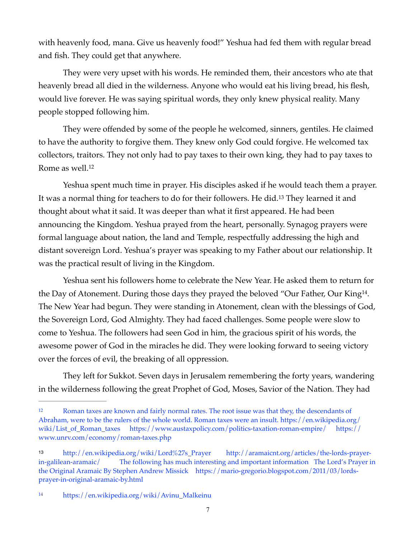with heavenly food, mana. Give us heavenly food!" Yeshua had fed them with regular bread and fish. They could get that anywhere.

They were very upset with his words. He reminded them, their ancestors who ate that heavenly bread all died in the wilderness. Anyone who would eat his living bread, his flesh, would live forever. He was saying spiritual words, they only knew physical reality. Many people stopped following him.

They were offended by some of the people he welcomed, sinners, gentiles. He claimed to have the authority to forgive them. They knew only God could forgive. He welcomed tax collectors, traitors. They not only had to pay taxes to their own king, they had to pay taxes to Rome as well[.](#page-6-0)<sup>[12](#page-6-0)</sup>

<span id="page-6-4"></span><span id="page-6-3"></span>Yeshua spent much time in prayer. His disciples asked if he would teach them a prayer. It was a normal thing for teachers to do for their followers[.](#page-6-1) He did.<sup>[13](#page-6-1)</sup> They learned it and thought about what it said. It was deeper than what it first appeared. He had been announcing the Kingdom. Yeshua prayed from the heart, personally. Synagog prayers were formal language about nation, the land and Temple, respectfully addressing the high and distant sovereign Lord. Yeshua's prayer was speaking to my Father about our relationship. It was the practical result of living in the Kingdom.

<span id="page-6-5"></span>Yeshua sent his followers home to celebrate the New Year. He asked them to return for the Day of Atonement[.](#page-6-2) During those days they prayed the beloved "Our Father, Our King<sup>[14](#page-6-2)</sup>. The New Year had begun. They were standing in Atonement, clean with the blessings of God, the Sovereign Lord, God Almighty. They had faced challenges. Some people were slow to come to Yeshua. The followers had seen God in him, the gracious spirit of his words, the awesome power of God in the miracles he did. They were looking forward to seeing victory over the forces of evil, the breaking of all oppression.

They left for Sukkot. Seven days in Jerusalem remembering the forty years, wandering in the wilderness following the great Prophet of God, Moses, Savior of the Nation. They had

<span id="page-6-0"></span><sup>&</sup>lt;sup>[12](#page-6-3)</sup> Roman taxes are known and fairly normal rates. The root issue was that they, the descendants of Abraham, were to be the rulers of the whole world. Roman taxes were an insult. [https://en.wikipedia.org/](https://en.wikipedia.org/wiki/List_of_Roman_taxes) [wiki/List\\_of\\_Roman\\_taxes](https://en.wikipedia.org/wiki/List_of_Roman_taxes) <https://www.austaxpolicy.com/politics-taxation-roman-empire/> [https://](https://www.unrv.com/economy/roman-taxes.php) [www.unrv.com/economy/roman-taxes.php](https://www.unrv.com/economy/roman-taxes.php)

<span id="page-6-1"></span>[http://en.wikipedia.org/wiki/Lord%27s\\_Prayer](http://en.wikipedia.org/wiki/Lord%27s_Prayer) [http://aramaicnt.org/articles/the-lords-prayer-](http://aramaicnt.org/articles/the-lords-prayer-in-galilean-aramaic/) [13](#page-6-4) [in-galilean-aramaic/](http://aramaicnt.org/articles/the-lords-prayer-in-galilean-aramaic/) The following has much interesting and important information The Lord's Prayer in the Original Aramaic By Stephen Andrew Missick [https://mario-gregorio.blogspot.com/2011/03/lords](https://mario-gregorio.blogspot.com/2011/03/lords-prayer-in-original-aramaic-by.html)[prayer-in-original-aramaic-by.html](https://mario-gregorio.blogspot.com/2011/03/lords-prayer-in-original-aramaic-by.html)

<span id="page-6-2"></span>[https://en.wikipedia.org/wiki/Avinu\\_Malkeinu](https://en.wikipedia.org/wiki/Avinu_Malkeinu) [14](#page-6-5)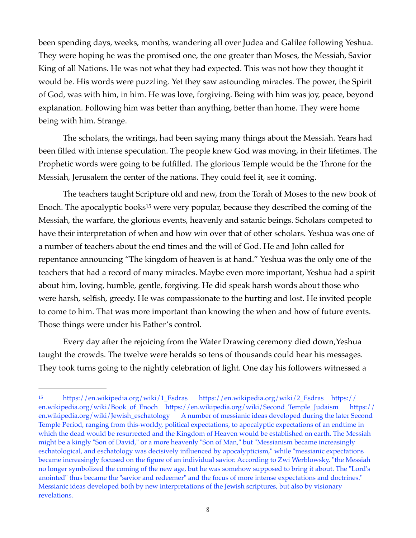been spending days, weeks, months, wandering all over Judea and Galilee following Yeshua. They were hoping he was the promised one, the one greater than Moses, the Messiah, Savior King of all Nations. He was not what they had expected. This was not how they thought it would be. His words were puzzling. Yet they saw astounding miracles. The power, the Spirit of God, was with him, in him. He was love, forgiving. Being with him was joy, peace, beyond explanation. Following him was better than anything, better than home. They were home being with him. Strange.

The scholars, the writings, had been saying many things about the Messiah. Years had been filled with intense speculation. The people knew God was moving, in their lifetimes. The Prophetic words were going to be fulfilled. The glorious Temple would be the Throne for the Messiah, Jerusalem the center of the nations. They could feel it, see it coming.

<span id="page-7-1"></span>The teachers taught Scripture old and new, from the Torah of Moses to the new book of Enoch.The apocalyptic books<sup>[15](#page-7-0)</sup> were very popular, because they described the coming of the Messiah, the warfare, the glorious events, heavenly and satanic beings. Scholars competed to have their interpretation of when and how win over that of other scholars. Yeshua was one of a number of teachers about the end times and the will of God. He and John called for repentance announcing "The kingdom of heaven is at hand." Yeshua was the only one of the teachers that had a record of many miracles. Maybe even more important, Yeshua had a spirit about him, loving, humble, gentle, forgiving. He did speak harsh words about those who were harsh, selfish, greedy. He was compassionate to the hurting and lost. He invited people to come to him. That was more important than knowing the when and how of future events. Those things were under his Father's control.

Every day after the rejoicing from the Water Drawing ceremony died down,Yeshua taught the crowds. The twelve were heralds so tens of thousands could hear his messages. They took turns going to the nightly celebration of light. One day his followers witnessed a

<span id="page-7-0"></span>[<sup>15</sup>](#page-7-1) [https://en.wikipedia.org/wiki/1\\_Esdras](https://en.wikipedia.org/wiki/1_Esdras) [https://en.wikipedia.org/wiki/2\\_Esdras](https://en.wikipedia.org/wiki/2_Esdras) [https://](https://en.wikipedia.org/wiki/Book_of_Enoch) [en.wikipedia.org/wiki/Book\\_of\\_Enoch](https://en.wikipedia.org/wiki/Book_of_Enoch) [https://en.wikipedia.org/wiki/Second\\_Temple\\_Judaism](https://en.wikipedia.org/wiki/Second_Temple_Judaism) [https://](https://en.wikipedia.org/wiki/Jewish_eschatology) [en.wikipedia.org/wiki/Jewish\\_eschatology](https://en.wikipedia.org/wiki/Jewish_eschatology) A number of messianic ideas developed during the later Second Temple Period, ranging from this-worldy, political expectations, to apocalyptic expectations of an endtime in which the dead would be resurrected and the Kingdom of Heaven would be established on earth. The Messiah might be a kingly "Son of David," or a more heavenly "Son of Man," but "Messianism became increasingly eschatological, and eschatology was decisively influenced by apocalypticism," while "messianic expectations became increasingly focused on the figure of an individual savior. According to Zwi Werblowsky, "the Messiah no longer symbolized the coming of the new age, but he was somehow supposed to bring it about. The "Lord's anointed" thus became the "savior and redeemer" and the focus of more intense expectations and doctrines." Messianic ideas developed both by new interpretations of the Jewish scriptures, but also by visionary revelations.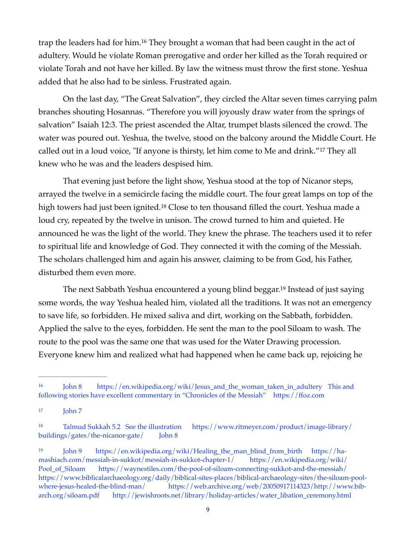<span id="page-8-4"></span>trap the leaders had for him[.](#page-8-0)<sup>[16](#page-8-0)</sup> They brought a woman that had been caught in the act of adultery. Would he violate Roman prerogative and order her killed as the Torah required or violate Torah and not have her killed. By law the witness must throw the first stone. Yeshua added that he also had to be sinless. Frustrated again.

On the last day, "The Great Salvation", they circled the Altar seven times carrying palm branches shouting Hosannas. "Therefore you will joyously draw water from the springs of salvation" Isaiah 12:3. The priest ascended the Altar, trumpet blasts silenced the crowd. The water was poured out. Yeshua, the twelve, stood on the balcony around the Middle Court. He calledout in a loud voice, "If anyone is thirsty, let him come to Me and drink."<sup>[17](#page-8-1)</sup> They all knew who he was and the leaders despised him.

<span id="page-8-6"></span><span id="page-8-5"></span>That evening just before the light show, Yeshua stood at the top of Nicanor steps, arrayed the twelve in a semicircle facing the middle court. The four great lamps on top of the hightowers had just been ignited.<sup>[18](#page-8-2)</sup> Close to ten thousand filled the court. Yeshua made a loud cry, repeated by the twelve in unison. The crowd turned to him and quieted. He announced he was the light of the world. They knew the phrase. The teachers used it to refer to spiritual life and knowledge of God. They connected it with the coming of the Messiah. The scholars challenged him and again his answer, claiming to be from God, his Father, disturbed them even more.

<span id="page-8-7"></span>Thenext Sabbath Yeshua encountered a young blind beggar.<sup>[19](#page-8-3)</sup> Instead of just saying some words, the way Yeshua healed him, violated all the traditions. It was not an emergency to save life, so forbidden. He mixed saliva and dirt, working on the Sabbath, forbidden. Applied the salve to the eyes, forbidden. He sent the man to the pool Siloam to wash. The route to the pool was the same one that was used for the Water Drawing procession. Everyone knew him and realized what had happened when he came back up, rejoicing he

<span id="page-8-0"></span><sup>16</sup> John 8 [https://en.wikipedia.org/wiki/Jesus\\_and\\_the\\_woman\\_taken\\_in\\_adultery](https://en.wikipedia.org/wiki/Jesus_and_the_woman_taken_in_adultery) This and following stories have excellent commentary in "Chronicles of the Messiah" <https://ffoz.com>

<span id="page-8-1"></span> $17 \t John 7$  $17 \t John 7$ 

<span id="page-8-2"></span>[<sup>18</sup>](#page-8-6) Talmud Sukkah 5.2 See the illustration [https://www.ritmeyer.com/product/image-library/](https://www.ritmeyer.com/product/image-library/buildings/gates/the-nicanor-gate/) [buildings/gates/the-nicanor-gate/](https://www.ritmeyer.com/product/image-library/buildings/gates/the-nicanor-gate/) John 8

<span id="page-8-3"></span>John 9 [https://en.wikipedia.org/wiki/Healing\\_the\\_man\\_blind\\_from\\_birth](https://en.wikipedia.org/wiki/Healing_the_man_blind_from_birth) [https://ha-](https://ha-mashiach.com/messiah-in-sukkot/messiah-in-sukkot-chapter-1/) [19](#page-8-7) [mashiach.com/messiah-in-sukkot/messiah-in-sukkot-chapter-1/](https://ha-mashiach.com/messiah-in-sukkot/messiah-in-sukkot-chapter-1/) [https://en.wikipedia.org/wiki/](https://en.wikipedia.org/wiki/Pool_of_Siloam) [Pool\\_of\\_Siloam](https://en.wikipedia.org/wiki/Pool_of_Siloam) <https://waynestiles.com/the-pool-of-siloam-connecting-sukkot-and-the-messiah/> [https://www.biblicalarchaeology.org/daily/biblical-sites-places/biblical-archaeology-sites/the-siloam-pool](https://www.biblicalarchaeology.org/daily/biblical-sites-places/biblical-archaeology-sites/the-siloam-pool-where-jesus-healed-the-blind-man/)[where-jesus-healed-the-blind-man/](https://www.biblicalarchaeology.org/daily/biblical-sites-places/biblical-archaeology-sites/the-siloam-pool-where-jesus-healed-the-blind-man/) [https://web.archive.org/web/20050917114323/http://www.bib](https://web.archive.org/web/20050917114323/http://www.bib-arch.org/siloam.pdf)[arch.org/siloam.pdf](https://web.archive.org/web/20050917114323/http://www.bib-arch.org/siloam.pdf) [http://jewishroots.net/library/holiday-articles/water\\_libation\\_ceremony.html](http://jewishroots.net/library/holiday-articles/water_libation_ceremony.html)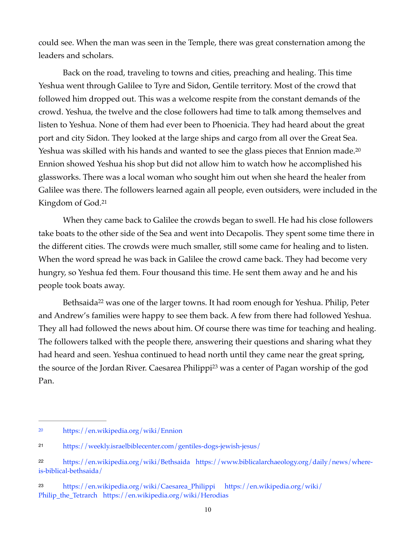could see. When the man was seen in the Temple, there was great consternation among the leaders and scholars.

Back on the road, traveling to towns and cities, preaching and healing. This time Yeshua went through Galilee to Tyre and Sidon, Gentile territory. Most of the crowd that followed him dropped out. This was a welcome respite from the constant demands of the crowd. Yeshua, the twelve and the close followers had time to talk among themselves and listen to Yeshua. None of them had ever been to Phoenicia. They had heard about the great port and city Sidon. They looked at the large ships and cargo from all over the Great Sea. Yeshua was skilled with his hands and wanted to see the glass pieces that Ennion made.<sup>20</sup> Ennion showed Yeshua his shop but did not allow him to watch how he accomplished his glassworks. There was a local woman who sought him out when she heard the healer from Galilee was there. The followers learned again all people, even outsiders, were included in the Kingdom of God.[21](#page-9-1)

<span id="page-9-5"></span><span id="page-9-4"></span>When they came back to Galilee the crowds began to swell. He had his close followers take boats to the other side of the Sea and went into Decapolis. They spent some time there in the different cities. The crowds were much smaller, still some came for healing and to listen. When the word spread he was back in Galilee the crowd came back. They had become very hungry, so Yeshua fed them. Four thousand this time. He sent them away and he and his people took boats away.

<span id="page-9-7"></span><span id="page-9-6"></span>Bethsaida<sup>22</sup>was one of the larger towns. It had room enough for Yeshua. Philip, Peter and Andrew's families were happy to see them back. A few from there had followed Yeshua. They all had followed the news about him. Of course there was time for teaching and healing. The followers talked with the people there, answering their questions and sharing what they had heard and seen. Yeshua continued to head north until they came near the great spring, thesource of the Jordan River. Caesarea Philippi<sup>[23](#page-9-3)</sup> was a center of Pagan worship of the god Pan.

<span id="page-9-0"></span><https://en.wikipedia.org/wiki/Ennion> [20](#page-9-4)

<span id="page-9-1"></span>https://weekly.israelbiblecenter.com/gentiles-dogs-jewish-jesus/ [21](#page-9-5)

<span id="page-9-2"></span><https://en.wikipedia.org/wiki/Bethsaida> [https://www.biblicalarchaeology.org/daily/news/where-](https://www.biblicalarchaeology.org/daily/news/where-is-biblical-bethsaida/) [22](#page-9-6) [is-biblical-bethsaida/](https://www.biblicalarchaeology.org/daily/news/where-is-biblical-bethsaida/)

<span id="page-9-3"></span>[<sup>23</sup>](#page-9-7) [https://en.wikipedia.org/wiki/Caesarea\\_Philippi](https://en.wikipedia.org/wiki/Caesarea_Philippi) [https://en.wikipedia.org/wiki/](https://en.wikipedia.org/wiki/Philip_the_Tetrarch) [Philip\\_the\\_Tetrarch](https://en.wikipedia.org/wiki/Philip_the_Tetrarch) <https://en.wikipedia.org/wiki/Herodias>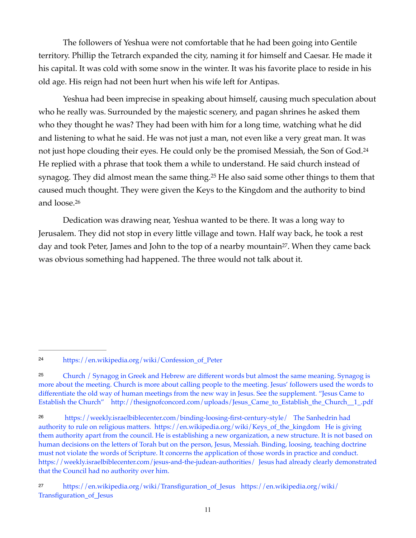The followers of Yeshua were not comfortable that he had been going into Gentile territory. Phillip the Tetrarch expanded the city, naming it for himself and Caesar. He made it his capital. It was cold with some snow in the winter. It was his favorite place to reside in his old age. His reign had not been hurt when his wife left for Antipas.

<span id="page-10-4"></span>Yeshua had been imprecise in speaking about himself, causing much speculation about who he really was. Surrounded by the majestic scenery, and pagan shrines he asked them who they thought he was? They had been with him for a long time, watching what he did and listening to what he said. He was not just a man, not even like a very great man. It was not just hope clouding their eyes. He could only be the promised Messiah, the Son of God.[24](#page-10-0) He replied with a phrase that took them a while to understand. He said church instead of synagog[.](#page-10-1) They did almost mean the same thing.<sup>[25](#page-10-1)</sup> He also said some other things to them that caused much thought. They were given the Keys to the Kingdom and the authority to bind and loose[.26](#page-10-2)

<span id="page-10-7"></span><span id="page-10-6"></span><span id="page-10-5"></span>Dedication was drawing near, Yeshua wanted to be there. It was a long way to Jerusalem. They did not stop in every little village and town. Half way back, he took a rest day and took Peter, James and John to the top of a nearby mountain<sup>[27](#page-10-3)</sup>. When they came back was obvious something had happened. The three would not talk about it.

<span id="page-10-0"></span>https://en.wikipedia.org/wiki/Confession\_of\_Peter [24](#page-10-4)

<span id="page-10-1"></span>Church / Synagog in Greek and Hebrew are different words but almost the same meaning. Synagog is [25](#page-10-5) more about the meeting. Church is more about calling people to the meeting. Jesus' followers used the words to differentiate the old way of human meetings from the new way in Jesus. See the supplement. "Jesus Came to Establish the Church" [http://thesignofconcord.com/uploads/Jesus\\_Came\\_to\\_Establish\\_the\\_Church\\_\\_1\\_.pdf](http://thesignofconcord.com/uploads/Jesus_Came_to_Establish_the_Church__1_.pdf)

<span id="page-10-2"></span><https://weekly.israelbiblecenter.com/binding-loosing-first-century-style/> The Sanhedrin had [26](#page-10-6) authority to rule on religious matters. [https://en.wikipedia.org/wiki/Keys\\_of\\_the\\_kingdom](https://en.wikipedia.org/wiki/Keys_of_the_kingdom) He is giving them authority apart from the council. He is establishing a new organization, a new structure. It is not based on human decisions on the letters of Torah but on the person, Jesus, Messiah. Binding, loosing, teaching doctrine must not violate the words of Scripture. It concerns the application of those words in practice and conduct. <https://weekly.israelbiblecenter.com/jesus-and-the-judean-authorities/>Jesus had already clearly demonstrated that the Council had no authority over him.

<span id="page-10-3"></span>[<sup>27</sup>](#page-10-7) [https://en.wikipedia.org/wiki/Transfiguration\\_of\\_Jesus](https://en.wikipedia.org/wiki/Transfiguration_of_Jesus) [https://en.wikipedia.org/wiki/](https://en.wikipedia.org/wiki/Transfiguration_of_Jesus) [Transfiguration\\_of\\_Jesus](https://en.wikipedia.org/wiki/Transfiguration_of_Jesus)